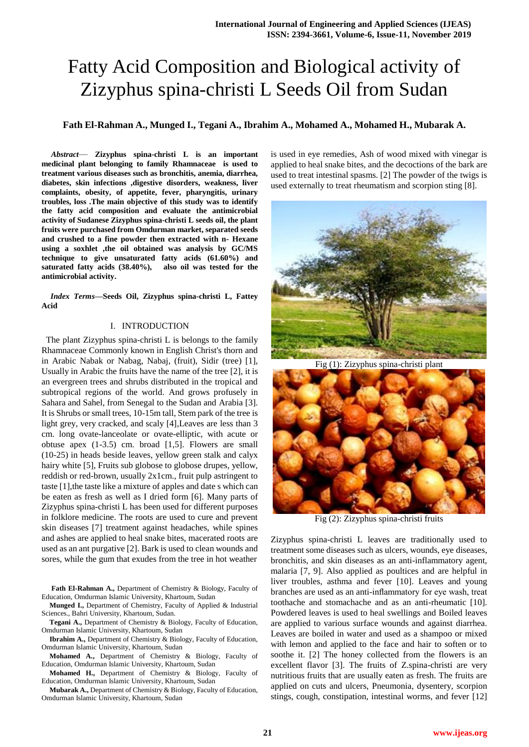# Fatty Acid Composition and Biological activity of Zizyphus spina-christi L Seeds Oil from Sudan

# **Fath El-Rahman A., Munged I., Tegani A., Ibrahim A., Mohamed A., Mohamed H., Mubarak A.**

*Abstract*— **Zizyphus spina-christi L is an important medicinal plant belonging to family Rhamnaceae is used to treatment various diseases such as bronchitis, anemia, diarrhea, diabetes, skin infections ,digestive disorders, weakness, liver complaints, obesity, of appetite, fever, pharyngitis, urinary troubles, loss .The main objective of this study was to identify the fatty acid composition and evaluate the antimicrobial activity of Sudanese Zizyphus spina-christi L seeds oil, the plant fruits were purchased from Omdurman market, separated seeds and crushed to a fine powder then extracted with n- Hexane using a soxhlet ,the oil obtained was analysis by GC/MS technique to give unsaturated fatty acids (61.60%) and saturated fatty acids (38.40%), also oil was tested for the antimicrobial activity.**

*Index Terms***—Seeds Oil, Zizyphus spina-christi L, Fattey Acid**

## I. INTRODUCTION

 The plant Zizyphus spina-christi L is belongs to the family Rhamnaceae Commonly known in English Christ's thorn and in Arabic Nabak or Nabag, Nabaj, (fruit), Sidir (tree) [1], Usually in Arabic the fruits have the name of the tree [2], it is an evergreen trees and shrubs distributed in the tropical and subtropical regions of the world. And grows profusely in Sahara and Sahel, from Senegal to the Sudan and Arabia [3]. It is Shrubs or small trees, 10-15m tall, Stem park of the tree is light grey, very cracked, and scaly [4],Leaves are less than 3 cm. long ovate-lanceolate or ovate-elliptic, with acute or obtuse apex (1-3.5) cm. broad [1,5]. Flowers are small (10-25) in heads beside leaves, yellow green stalk and calyx hairy white [5], Fruits sub globose to globose drupes, yellow, reddish or red-brown, usually 2x1cm., fruit pulp astringent to taste [1],the taste like a mixture of apples and date s which can be eaten as fresh as well as I dried form [6]. Many parts of Zizyphus spina-christi L has been used for different purposes in folklore medicine. The roots are used to cure and prevent skin diseases [7] treatment against headaches, while spines and ashes are applied to heal snake bites, macerated roots are used as an ant purgative [2]. Bark is used to clean wounds and sores, while the gum that exudes from the tree in hot weather

**Fath El-Rahman A.,** Department of Chemistry & Biology, Faculty of Education, Omdurman Islamic University, Khartoum, Sudan

**Munged I.,** Department of Chemistry, Faculty of Applied & Industrial Sciences., Bahri University, Khartoum, Sudan.

**Tegani A.,** Department of Chemistry & Biology, Faculty of Education, Omdurman Islamic University, Khartoum, Sudan

**Ibrahim A.,** Department of Chemistry & Biology, Faculty of Education, Omdurman Islamic University, Khartoum, Sudan

**Mohamed A.,** Department of Chemistry & Biology, Faculty of Education, Omdurman Islamic University, Khartoum, Sudan

**Mohamed H.,** Department of Chemistry & Biology, Faculty of Education, Omdurman Islamic University, Khartoum, Sudan

**Mubarak A.,** Department of Chemistry & Biology, Faculty of Education, Omdurman Islamic University, Khartoum, Sudan

is used in eye remedies, Ash of wood mixed with vinegar is applied to heal snake bites, and the decoctions of the bark are used to treat intestinal spasms. [2] The powder of the twigs is used externally to treat rheumatism and scorpion sting [8].



Fig (1): Zizyphus spina-christi plant



Fig (2): Zizyphus spina-christi fruits

Zizyphus spina-christi L leaves are traditionally used to treatment some diseases such as ulcers, wounds, eye diseases, bronchitis, and skin diseases as an anti-inflammatory agent, malaria [7, 9]. Also applied as poultices and are helpful in liver troubles, asthma and fever [10]. Leaves and young branches are used as an anti-inflammatory for eye wash, treat toothache and stomachache and as an anti-rheumatic [10]. Powdered leaves is used to heal swellings and Boiled leaves are applied to various surface wounds and against diarrhea. Leaves are boiled in water and used as a shampoo or mixed with lemon and applied to the face and hair to soften or to soothe it. [2] The honey collected from the flowers is an excellent flavor [3]. The fruits of Z.spina-christi are very nutritious fruits that are usually eaten as fresh. The fruits are applied on cuts and ulcers, Pneumonia, dysentery, scorpion stings, cough, constipation, intestinal worms, and fever [12]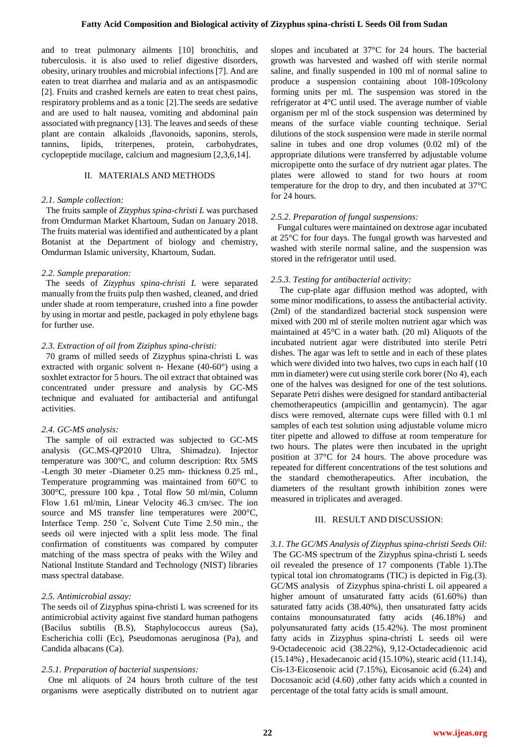and to treat pulmonary ailments [10] bronchitis, and tuberculosis. it is also used to relief digestive disorders, obesity, urinary troubles and microbial infections [7]. And are eaten to treat diarrhea and malaria and as an antispasmodic [2]. Fruits and crashed kernels are eaten to treat chest pains, respiratory problems and as a tonic [2].The seeds are sedative and are used to halt nausea, vomiting and abdominal pain associated with pregnancy [13]. The leaves and seeds of these plant are contain alkaloids ,flavonoids, saponins, sterols, tannins, lipids, triterpenes, protein, carbohydrates, cyclopeptide mucilage, calcium and magnesium [2,3,6,14].

### II. MATERIALS AND METHODS

#### *2.1. Sample collection:*

 The fruits sample of *Zizyphus spina-christi L* was purchased from Omdurman Market Khartoum, Sudan on January 2018. The fruits material was identified and authenticated by a plant Botanist at the Department of biology and chemistry, Omdurman Islamic university, Khartoum, Sudan.

#### *2.2. Sample preparation:*

 The seeds of *Zizyphus spina-christi L* were separated manually from the fruits pulp then washed, cleaned, and dried under shade at room temperature, crushed into a fine powder by using in mortar and pestle, packaged in poly ethylene bags for further use.

## *2.3. Extraction of oil from Ziziphus spina-christi:*

 70 grams of milled seeds of Zizyphus spina-christi L was extracted with organic solvent n- Hexane (40-60°) using a soxhlet extractor for 5 hours. The oil extract that obtained was concentrated under pressure and analysis by GC-MS technique and evaluated for antibacterial and antifungal activities.

#### *2.4. GC-MS analysis:*

 The sample of oil extracted was subjected to GC-MS analysis (GC.MS-QP2010 Ultra, Shimadzu). Injector temperature was 300°C, and column description: Rtx 5MS -Length 30 meter -Diameter 0.25 mm- thickness 0.25 ml., Temperature programming was maintained from 60°C to 300°C, pressure 100 kpa , Total flow 50 ml/min, Column Flow 1.61 ml/min, Linear Velocity 46.3 cm/sec. The ion source and MS transfer line temperatures were 200°C, Interface Temp. 250 ˚c, Solvent Cute Time 2.50 min., the seeds oil were injected with a split less mode. The final confirmation of constituents was compared by computer matching of the mass spectra of peaks with the Wiley and National Institute Standard and Technology (NIST) libraries mass spectral database.

#### *2.5. Antimicrobial assay:*

The seeds oil of Zizyphus spina-christi L was screened for its antimicrobial activity against five standard human pathogens (Bacilus subtilis (B.S), Staphylococcus aureus (Sa), Escherichia colli (Ec), Pseudomonas aeruginosa (Pa), and Candida albacans (Ca).

#### *2.5.1. Preparation of bacterial suspensions:*

 One ml aliquots of 24 hours broth culture of the test organisms were aseptically distributed on to nutrient agar

slopes and incubated at 37°C for 24 hours. The bacterial growth was harvested and washed off with sterile normal saline, and finally suspended in 100 ml of normal saline to produce a suspension containing about 108-109colony forming units per ml. The suspension was stored in the refrigerator at 4°C until used. The average number of viable organism per ml of the stock suspension was determined by means of the surface viable counting technique. Serial dilutions of the stock suspension were made in sterile normal saline in tubes and one drop volumes (0.02 ml) of the appropriate dilutions were transferred by adjustable volume micropipette onto the surface of dry nutrient agar plates. The plates were allowed to stand for two hours at room temperature for the drop to dry, and then incubated at 37°C for 24 hours.

## *2.5.2. Preparation of fungal suspensions:*

 Fungal cultures were maintained on dextrose agar incubated at 25°C for four days. The fungal growth was harvested and washed with sterile normal saline, and the suspension was stored in the refrigerator until used.

### *2.5.3. Testing for antibacterial activity:*

The cup-plate agar diffusion method was adopted, with some minor modifications, to assess the antibacterial activity. (2ml) of the standardized bacterial stock suspension were mixed with 200 ml of sterile molten nutrient agar which was maintained at 45°C in a water bath. (20 ml) Aliquots of the incubated nutrient agar were distributed into sterile Petri dishes. The agar was left to settle and in each of these plates which were divided into two halves, two cups in each half (10 mm in diameter) were cut using sterile cork borer (No 4), each one of the halves was designed for one of the test solutions. Separate Petri dishes were designed for standard antibacterial chemotherapeutics (ampicillin and gentamycin). The agar discs were removed, alternate cups were filled with 0.1 ml samples of each test solution using adjustable volume micro titer pipette and allowed to diffuse at room temperature for two hours. The plates were then incubated in the upright position at 37°C for 24 hours. The above procedure was repeated for different concentrations of the test solutions and the standard chemotherapeutics. After incubation, the diameters of the resultant growth inhibition zones were measured in triplicates and averaged.

#### III. RESULT AND DISCUSSION:

*3.1. The GC/MS Analysis of Zizyphus spina-christi Seeds Oil:* The GC-MS spectrum of the Zizyphus spina-christi L seeds oil revealed the presence of 17 components (Table 1).The typical total ion chromatograms (TIC) is depicted in Fig.(3). GC/MS analysis of Zizyphus spina-christi L oil appeared a higher amount of unsaturated fatty acids (61.60%) than saturated fatty acids (38.40%), then unsaturated fatty acids contains monounsaturated fatty acids (46.18%) and polyunsaturated fatty acids (15.42%). The most prominent fatty acids in Zizyphus spina-christi L seeds oil were 9-Octadecenoic acid (38.22%), 9,12-Octadecadienoic acid (15.14%) , Hexadecanoic acid (15.10%), stearic acid (11.14), Cis-13-Eicosenoic acid (7.15%), Eicosanoic acid (6.24) and Docosanoic acid (4.60) ,other fatty acids which a counted in percentage of the total fatty acids is small amount.